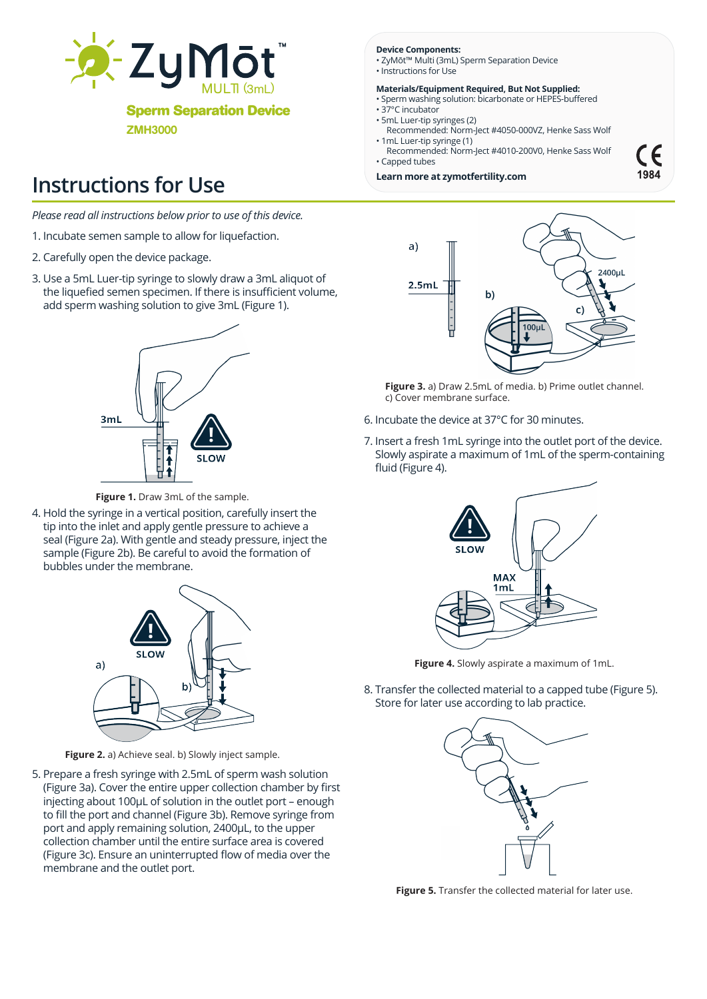

**Sperm Separation Device**

ZMH3000

# **Instructions for Use**

*Please read all instructions below prior to use of this device.* 

- 1. Incubate semen sample to allow for liquefaction.
- 2. Carefully open the device package.
- 3. Use a 5mL Luer-tip syringe to slowly draw a 3mL aliquot of the liquefied semen specimen. If there is insufficient volume, add sperm washing solution to give 3mL (Figure 1).



**Figure 1.** Draw 3mL of the sample.

4. Hold the syringe in a vertical position, carefully insert the tip into the inlet and apply gentle pressure to achieve a seal (Figure 2a). With gentle and steady pressure, inject the sample (Figure 2b). Be careful to avoid the formation of bubbles under the membrane.



**Figure 2.** a) Achieve seal. b) Slowly inject sample.

5. Prepare a fresh syringe with 2.5mL of sperm wash solution (Figure 3a). Cover the entire upper collection chamber by first injecting about 100µL of solution in the outlet port – enough to fill the port and channel (Figure 3b). Remove syringe from port and apply remaining solution, 2400µL, to the upper collection chamber until the entire surface area is covered (Figure 3c). Ensure an uninterrupted flow of media over the membrane and the outlet port.

#### **Device Components:**

- ZyMōt™ Multi (3mL) Sperm Separation Device • Instructions for Use
	-

#### **Materials/Equipment Required, But Not Supplied:** • Sperm washing solution: bicarbonate or HEPES-buffered

- 37°C incubator
- 5mL Luer-tip syringes (2) Recommended: Norm-Ject #4050-000VZ, Henke Sass Wolf • 1mL Luer-tip syringe (1)
- Recommended: Norm-Ject #4010-200V0, Henke Sass Wolf • Capped tubes
- **Learn more at zymotfertility.com**





**Figure 3.** a) Draw 2.5mL of media. b) Prime outlet channel. c) Cover membrane surface.

- 6. Incubate the device at 37°C for 30 minutes.
- 7. Insert a fresh 1mL syringe into the outlet port of the device. Slowly aspirate a maximum of 1mL of the sperm-containing fluid (Figure 4).



**Figure 4.** Slowly aspirate a maximum of 1mL.

8. Transfer the collected material to a capped tube (Figure 5). Store for later use according to lab practice.



**Figure 5.** Transfer the collected material for later use.